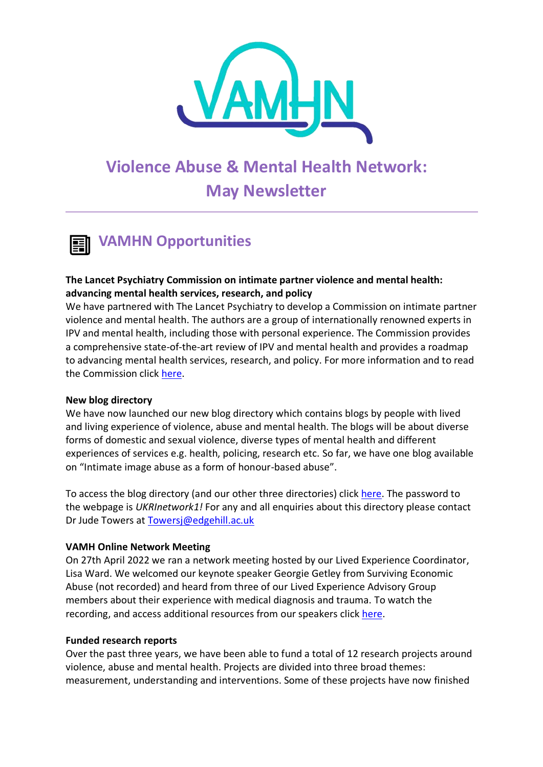

# **Violence Abuse & Mental Health Network: May Newsletter**

## **VAMHN Opportunities**

#### **The Lancet Psychiatry Commission on intimate partner violence and mental health: advancing mental health services, research, and policy**

We have partnered with The Lancet Psychiatry to develop a Commission on intimate partner violence and mental health. The authors are a group of internationally renowned experts in IPV and mental health, including those with personal experience. The Commission provides a comprehensive state-of-the-art review of IPV and mental health and provides a roadmap to advancing mental health services, research, and policy. For more information and to read the Commission click [here.](https://www.thelancet.com/commissions/intimate-partner-violence)

#### **New blog directory**

We have now launched our new blog directory which contains blogs by people with lived and living experience of violence, abuse and mental health. The blogs will be about diverse forms of domestic and sexual violence, diverse types of mental health and different experiences of services e.g. health, policing, research etc. So far, we have one blog available on "Intimate image abuse as a form of honour-based abuse".

To access the blog directory (and our other three directories) click [here.](https://www.vamhn.co.uk/directories.html) The password to the webpage is *UKRInetwork1!* For any and all enquiries about this directory please contact Dr Jude Towers at [Towersj@edgehill.ac.uk](mailto:Towersj@edgehill.ac.uk)

#### **VAMH Online Network Meeting**

On 27th April 2022 we ran a network meeting hosted by our Lived Experience Coordinator, Lisa Ward. We welcomed our keynote speaker Georgie Getley from Surviving Economic Abuse (not recorded) and heard from three of our Lived Experience Advisory Group members about their experience with medical diagnosis and trauma. To watch the recording, and access additional resources from our speakers click [here.](https://www.vamhn.co.uk/sixth-network-meeting.html)

#### **Funded research reports**

Over the past three years, we have been able to fund a total of 12 research projects around violence, abuse and mental health. Projects are divided into three broad themes: measurement, understanding and interventions. Some of these projects have now finished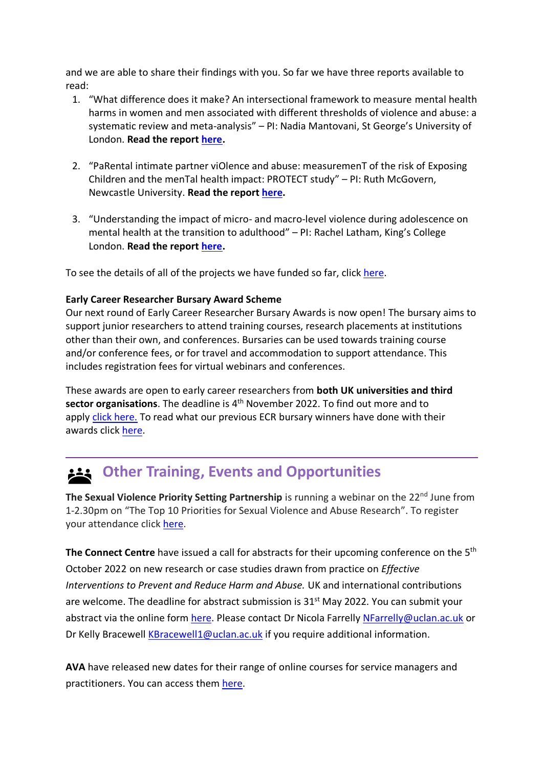and we are able to share their findings with you. So far we have three reports available to read:

- 1. "What difference does it make? An intersectional framework to measure mental health harms in women and men associated with different thresholds of violence and abuse: a systematic review and meta-analysis" – PI: Nadia Mantovani, St George's University of London. **Read the report [here.](https://www.vamhn.co.uk/uploads/1/2/2/7/122741688/nadia_mantovani_final_report__1_.pdf)**
- 2. "PaRental intimate partner viOlence and abuse: measuremenT of the risk of Exposing Children and the menTal health impact: PROTECT study" – PI: Ruth McGovern, Newcastle University. **Read the report [here.](https://www.vamhn.co.uk/uploads/1/2/2/7/122741688/ruth_mcgovern_final_report.pdf)**
- 3. "Understanding the impact of micro- and macro-level violence during adolescence on mental health at the transition to adulthood" – PI: Rachel Latham, King's College London. **Read the report [here.](https://www.vamhn.co.uk/uploads/1/2/2/7/122741688/rachel_latham_final_report__1_.pdf)**

To see the details of all of the projects we have funded so far, clic[k here.](https://www.vamhn.co.uk/funded-research.html)

#### **Early Career Researcher Bursary Award Scheme**

Our next round of Early Career Researcher Bursary Awards is now open! The bursary aims to support junior researchers to attend training courses, research placements at institutions other than their own, and conferences. Bursaries can be used towards training course and/or conference fees, or for travel and accommodation to support attendance. This includes registration fees for virtual webinars and conferences.

These awards are open to early career researchers from **both UK universities and third**  sector organisations. The deadline is 4<sup>th</sup> November 2022. To find out more and to apply [click here.](https://www.vamhn.co.uk/ecr-bursaries.html) To read what our previous ECR bursary winners have done with their awards click [here.](http://www.vamhn.co.uk/blog/category/vamhn-bursary-award-blogs)

## **Other Training, Events and Opportunities**

**The Sexual Violence Priority Setting Partnership** is running a webinar on the 22<sup>nd</sup> June from 1-2.30pm on "The Top 10 Priorities for Sexual Violence and Abuse Research". To register your attendance click [here.](https://www.eventbrite.co.uk/e/webinar-the-top-10-priorities-for-sexual-violence-and-abuse-research-registration-302574557647)

The Connect Centre have issued a call for abstracts for their upcoming conference on the 5<sup>th</sup> October 2022 on new research or case studies drawn from practice on *Effective Interventions to Prevent and Reduce Harm and Abuse.* UK and international contributions are welcome. The deadline for abstract submission is 31<sup>st</sup> May 2022. You can submit your abstract via the online form [here.](https://forms.office.com/pages/responsepage.aspx?id=gpn262sDxEyyAnrrGUxQZd5Xicix3KtPuADbFGBQLkVUMUFCN1gyQlBTMThJM0RENFJYVTBXTTNPUi4u&web=1&wdLOR=cA29ECC59-DDC5-4E81-8649-FA040E7D3A23) Please contact Dr Nicola Farrelly [NFarrelly@uclan.ac.uk](mailto:NFarrelly@uclan.ac.uk) or Dr Kelly Bracewell [KBracewell1@uclan.ac.uk](mailto:KBracewell1@uclan.ac.uk) if you require additional information.

**AVA** have released new dates for their range of online courses for service managers and practitioners. You can access them [here.](https://avaproject.org.uk/training/#Upcoming)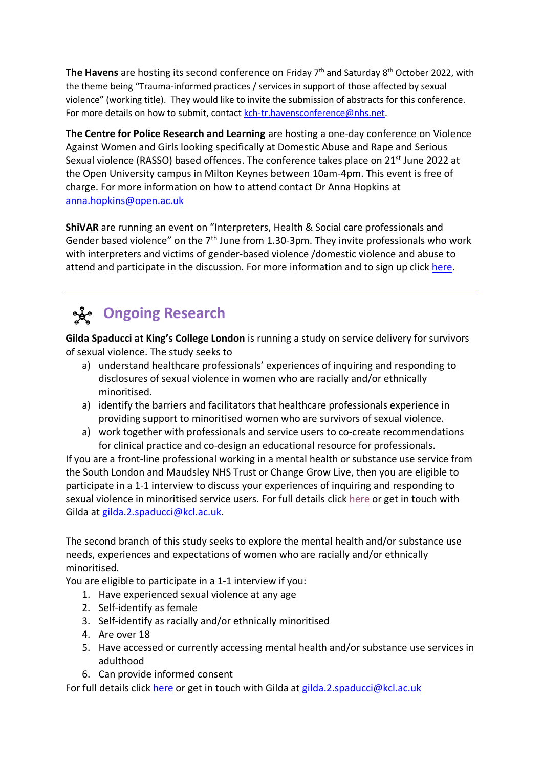**The Havens** are hosting its second conference on Friday 7<sup>th</sup> and Saturday 8<sup>th</sup> October 2022, with the theme being "Trauma-informed practices / services in support of those affected by sexual violence" (working title). They would like to invite the submission of abstracts for this conference. For more details on how to submit, contac[t kch-tr.havensconference@nhs.net.](mailto:kch-tr.havensconference@nhs.net)

**The Centre for Police Research and Learning** are hosting a one-day conference on Violence Against Women and Girls looking specifically at Domestic Abuse and Rape and Serious Sexual violence (RASSO) based offences. The conference takes place on 21<sup>st</sup> June 2022 at the Open University campus in Milton Keynes between 10am-4pm. This event is free of charge. For more information on how to attend contact Dr Anna Hopkins at [anna.hopkins@open.ac.uk](mailto:anna.hopkins@open.ac.uk)

**ShiVAR** are running an event on "Interpreters, Health & Social care professionals and Gender based violence" on the  $7<sup>th</sup>$  June from 1.30-3pm. They invite professionals who work with interpreters and victims of gender-based violence /domestic violence and abuse to attend and participate in the discussion. For more information and to sign up click [here.](https://www.eventbrite.co.uk/e/interpreters-health-social-care-professionals-and-gender-based-violence-tickets-347921591847?utm-campaign=social&utm-content=attendeeshare&utm-medium=discovery&utm-term=listing&utm-source=cp&aff=escb)

## **Ongoing Research**

**Gilda Spaducci at King's College London** is running a study on service delivery for survivors of sexual violence. The study seeks to

- a) understand healthcare professionals' experiences of inquiring and responding to disclosures of sexual violence in women who are racially and/or ethnically minoritised.
- a) identify the barriers and facilitators that healthcare professionals experience in providing support to minoritised women who are survivors of sexual violence.
- a) work together with professionals and service users to co-create recommendations for clinical practice and co-design an educational resource for professionals.

If you are a front-line professional working in a mental health or substance use service from the South London and Maudsley NHS Trust or Change Grow Live, then you are eligible to participate in a 1-1 interview to discuss your experiences of inquiring and responding to sexual violence in minoritised service users. For full details click [here](https://twitter.com/GSpaducci/status/1507006775693783041) or get in touch with Gilda at [gilda.2.spaducci@kcl.ac.uk.](mailto:gilda.2.spaducci@kcl.ac.uk)

The second branch of this study seeks to explore the mental health and/or substance use needs, experiences and expectations of women who are racially and/or ethnically minoritised.

You are eligible to participate in a 1-1 interview if you:

- 1. Have experienced sexual violence at any age
- 2. Self-identify as female
- 3. Self-identify as racially and/or ethnically minoritised
- 4. Are over 18
- 5. Have accessed or currently accessing mental health and/or substance use services in adulthood
- 6. Can provide informed consent

For full details click [here](https://twitter.com/GSpaducci/status/1516409648093581316) or get in touch with Gilda at [gilda.2.spaducci@kcl.ac.uk](mailto:gilda.2.spaducci@kcl.ac.uk)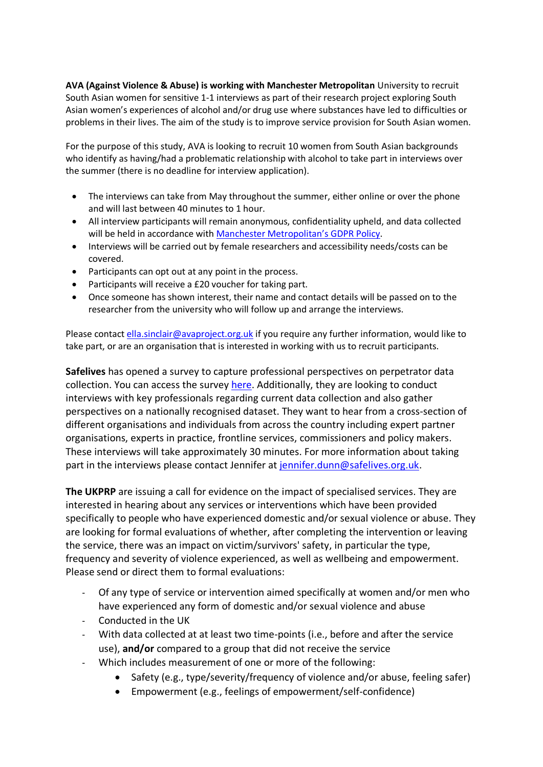**AVA (Against Violence & Abuse) is working with Manchester Metropolitan** University to recruit South Asian women for sensitive 1-1 interviews as part of their research project exploring South Asian women's experiences of alcohol and/or drug use where substances have led to difficulties or problems in their lives. The aim of the study is to improve service provision for South Asian women.

For the purpose of this study, AVA is looking to recruit 10 women from South Asian backgrounds who identify as having/had a problematic relationship with alcohol to take part in interviews over the summer (there is no deadline for interview application).

- The interviews can take from May throughout the summer, either online or over the phone and will last between 40 minutes to 1 hour.
- All interview participants will remain anonymous, confidentiality upheld, and data collected will be held in accordance with [Manchester Metropolitan's GDPR Policy](https://eur03.safelinks.protection.outlook.com/?url=https%3A%2F%2Fwww.mmu.ac.uk%2Fdata-protection&data=05%7C01%7Cvamhn%40kcl.ac.uk%7C3d573f58e42b4e10a52b08da326155ec%7C8370cf1416f34c16b83c724071654356%7C0%7C0%7C637877690883332891%7CUnknown%7CTWFpbGZsb3d8eyJWIjoiMC4wLjAwMDAiLCJQIjoiV2luMzIiLCJBTiI6Ik1haWwiLCJXVCI6Mn0%3D%7C3000%7C%7C%7C&sdata=l62DI8vTHwty65iNWayR66zcZ6tBXSuYUDlNqCPZeag%3D&reserved=0).
- Interviews will be carried out by female researchers and accessibility needs/costs can be covered.
- Participants can opt out at any point in the process.
- Participants will receive a £20 voucher for taking part.
- Once someone has shown interest, their name and contact details will be passed on to the researcher from the university who will follow up and arrange the interviews.

Please contact [ella.sinclair@avaproject.org.uk](mailto:ella.sinclair@avaproject.org.uk) if you require any further information, would like to take part, or are an organisation that is interested in working with us to recruit participants.

**Safelives** has opened a survey to capture professional perspectives on perpetrator data collection. You can access the survey [here.](https://wh1.snapsurveys.com/s.asp?k=165168006676) Additionally, they are looking to conduct interviews with key professionals regarding current data collection and also gather perspectives on a nationally recognised dataset. They want to hear from a cross-section of different organisations and individuals from across the country including expert partner organisations, experts in practice, frontline services, commissioners and policy makers. These interviews will take approximately 30 minutes. For more information about taking part in the interviews please contact Jennifer at [jennifer.dunn@safelives.org.uk.](mailto:jennifer.dunn@safelives.org.uk)

**The UKPRP** are issuing a call for evidence on the impact of specialised services. They are interested in hearing about any services or interventions which have been provided specifically to people who have experienced domestic and/or sexual violence or abuse. They are looking for formal evaluations of whether, after completing the intervention or leaving the service, there was an impact on victim/survivors' safety, in particular the type, frequency and severity of violence experienced, as well as wellbeing and empowerment. Please send or direct them to formal evaluations:

- Of any type of service or intervention aimed specifically at women and/or men who have experienced any form of domestic and/or sexual violence and abuse
- Conducted in the UK
- With data collected at at least two time-points (i.e., before and after the service use), **and/or** compared to a group that did not receive the service
- Which includes measurement of one or more of the following:
	- Safety (e.g., type/severity/frequency of violence and/or abuse, feeling safer)
	- Empowerment (e.g., feelings of empowerment/self-confidence)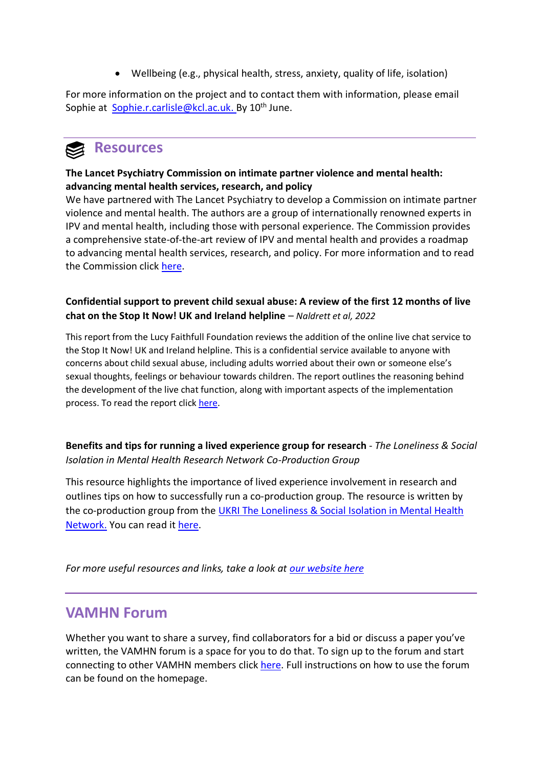• Wellbeing (e.g., physical health, stress, anxiety, quality of life, isolation)

For more information on the project and to contact them with information, please email Sophie at [Sophie.r.carlisle@kcl.ac.uk.](mailto:Sophie.r.carlisle@kcl.ac.uk) By 10<sup>th</sup> June.



#### **The Lancet Psychiatry Commission on intimate partner violence and mental health: advancing mental health services, research, and policy**

We have partnered with The Lancet Psychiatry to develop a Commission on intimate partner violence and mental health. The authors are a group of internationally renowned experts in IPV and mental health, including those with personal experience. The Commission provides a comprehensive state-of-the-art review of IPV and mental health and provides a roadmap to advancing mental health services, research, and policy. For more information and to read the Commission click [here.](https://www.thelancet.com/commissions/intimate-partner-violence)

#### **Confidential support to prevent child sexual abuse: A review of the first 12 months of live chat on the Stop It Now! UK and Ireland helpline** – *Naldrett et al, 2022*

This report from the Lucy Faithfull Foundation reviews the addition of the online live chat service to the Stop It Now! UK and Ireland helpline. This is a confidential service available to anyone with concerns about child sexual abuse, including adults worried about their own or someone else's sexual thoughts, feelings or behaviour towards children. The report outlines the reasoning behind the development of the live chat function, along with important aspects of the implementation process. To read the report click [here.](https://www.lucyfaithfull.org.uk/faithfull-papers-research.htm?utm_source=ad&utm_medium=email&utm_campaign=Clinks_April22)

**Benefits and tips for running a lived experience group for research** - *The Loneliness & Social Isolation in Mental Health Research Network Co-Production Group*

This resource highlights the importance of lived experience involvement in research and outlines tips on how to successfully run a co-production group. The resource is written by the co-production group from the UKRI The Loneliness & Social Isolation in Mental Health [Network.](https://www.ucl.ac.uk/psychiatry/research/epidemiology-and-applied-clinical-research-department/loneliness-and-social-isolation) You can read it [here.](https://www.ucl.ac.uk/psychiatry/sites/psychiatry/files/lsimhrn_cog_-_benefits_tips_le_group_for_research_06.05.2022.pdf)

*For more useful resources and links, take a look at [our website here](about:blank)*

### **VAMHN Forum**

Whether you want to share a survey, find collaborators for a bid or discuss a paper you've written, the VAMHN forum is a space for you to do that. To sign up to the forum and start connecting to other VAMHN members click [here.](https://vamhn6.wixsite.com/forum) Full instructions on how to use the forum can be found on the homepage.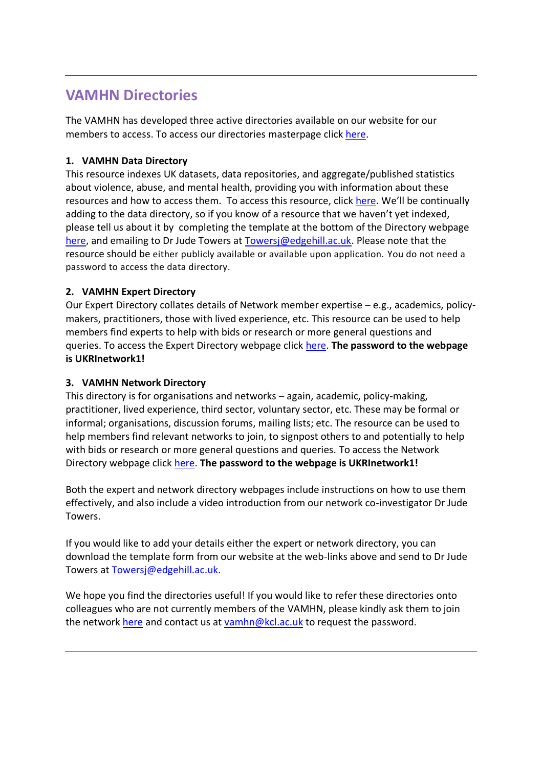### **VAMHN Directories**

The VAMHN has developed three active directories available on our website for our members to access. To access our directories masterpage click [here.](http://www.vamhn.co.uk/directories.html)

#### **1. VAMHN Data Directory**

This resource indexes UK datasets, data repositories, and aggregate/published statistics about violence, abuse, and mental health, providing you with information about these resources and how to access them. To access this resource, click [here](about:blank). We'll be continually adding to the data directory, so if you know of a resource that we haven't yet indexed, please tell us about it by completing the template at the bottom of the Directory webpage [here,](about:blank) and emailing to Dr Jude Towers at [Towersj@edgehill.ac.uk.](mailto:Towersj@edgehill.ac.uk) Please note that the resource should be either publicly available or available upon application. You do not need a password to access the data directory.

#### **2. VAMHN Expert Directory**

Our Expert Directory collates details of Network member expertise – e.g., academics, policymakers, practitioners, those with lived experience, etc. This resource can be used to help members find experts to help with bids or research or more general questions and queries. To access the Expert Directory webpage click [here.](https://eur03.safelinks.protection.outlook.com/?url=http%3A%2F%2Fwww.vamhn.co.uk%2Fexpert-directory.html&data=04%7C01%7Cvamhn%40kcl.ac.uk%7Ca698467a69994c7b1d3608d93faa0150%7C8370cf1416f34c16b83c724071654356%7C0%7C0%7C637610821666076220%7CUnknown%7CTWFpbGZsb3d8eyJWIjoiMC4wLjAwMDAiLCJQIjoiV2luMzIiLCJBTiI6Ik1haWwiLCJXVCI6Mn0%3D%7C1000&sdata=7i15Fcr0PZl%2Bz4LWqeGwy8mxFxq6cEVgikE47ufXHVk%3D&reserved=0) **The password to the webpage is UKRInetwork1!**

#### **3. VAMHN Network Directory**

This directory is for organisations and networks – again, academic, policy-making, practitioner, lived experience, third sector, voluntary sector, etc. These may be formal or informal; organisations, discussion forums, mailing lists; etc. The resource can be used to help members find relevant networks to join, to signpost others to and potentially to help with bids or research or more general questions and queries. To access the Network Directory webpage click [here.](https://eur03.safelinks.protection.outlook.com/?url=http%3A%2F%2Fwww.vamhn.co.uk%2Fnetwork-directory.html&data=04%7C01%7Cvamhn%40kcl.ac.uk%7Ca698467a69994c7b1d3608d93faa0150%7C8370cf1416f34c16b83c724071654356%7C0%7C0%7C637610821666086211%7CUnknown%7CTWFpbGZsb3d8eyJWIjoiMC4wLjAwMDAiLCJQIjoiV2luMzIiLCJBTiI6Ik1haWwiLCJXVCI6Mn0%3D%7C1000&sdata=gPOPvWPmVZ%2FtS2Hy4S3BkI0VNwOneADfYfdNpIeMC2g%3D&reserved=0) **The password to the webpage is UKRInetwork1!**

Both the expert and network directory webpages include instructions on how to use them effectively, and also include a video introduction from our network co-investigator Dr Jude Towers.

If you would like to add your details either the expert or network directory, you can download the template form from our website at the web-links above and send to Dr Jude Towers at [Towersj@edgehill.ac.uk](mailto:Towersj@edgehill.ac.uk).

We hope you find the directories useful! If you would like to refer these directories onto colleagues who are not currently members of the VAMHN, please kindly ask them to join the network [here](https://eur03.safelinks.protection.outlook.com/?url=http%3A%2F%2Fwww.vamhn.co.uk%2Fjoin-the-network.html&data=04%7C01%7Cvamhn%40kcl.ac.uk%7Ca698467a69994c7b1d3608d93faa0150%7C8370cf1416f34c16b83c724071654356%7C0%7C0%7C637610821666096207%7CUnknown%7CTWFpbGZsb3d8eyJWIjoiMC4wLjAwMDAiLCJQIjoiV2luMzIiLCJBTiI6Ik1haWwiLCJXVCI6Mn0%3D%7C1000&sdata=CSqhbzIFkiWOdWpxFoDCCCRlK73ldG1qKXnLM1XM4lg%3D&reserved=0) and contact us at [vamhn@kcl.ac.uk](mailto:vamhn@kcl.ac.ukl) to request the password.